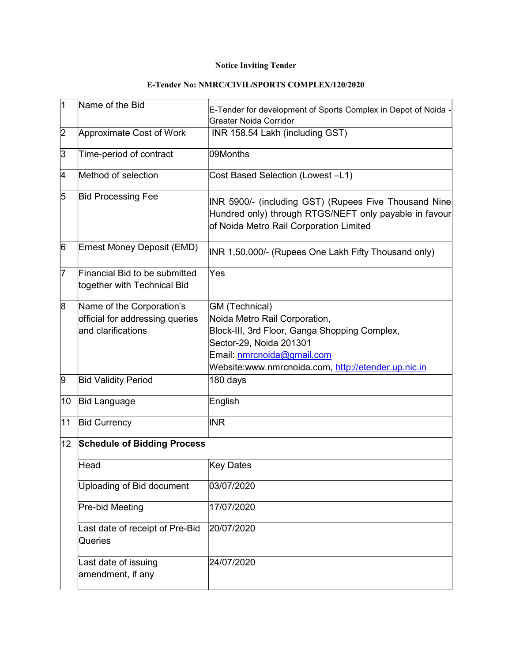## Notice Inviting Tender

| 1               | Name of the Bid                                                                    | E-Tender for development of Sports Complex in Depot of Noida -<br><b>Greater Noida Corridor</b>                                                                                                                  |
|-----------------|------------------------------------------------------------------------------------|------------------------------------------------------------------------------------------------------------------------------------------------------------------------------------------------------------------|
| 2               | Approximate Cost of Work                                                           | INR 158.54 Lakh (including GST)                                                                                                                                                                                  |
| 3               | Time-period of contract                                                            | 09Months                                                                                                                                                                                                         |
| 4               | Method of selection                                                                | Cost Based Selection (Lowest -L1)                                                                                                                                                                                |
| 5               | <b>Bid Processing Fee</b>                                                          | INR 5900/- (including GST) (Rupees Five Thousand Nine<br>Hundred only) through RTGS/NEFT only payable in favour<br>of Noida Metro Rail Corporation Limited                                                       |
| 6               | Ernest Money Deposit (EMD)                                                         | INR 1,50,000/- (Rupees One Lakh Fifty Thousand only)                                                                                                                                                             |
| 17              | Financial Bid to be submitted<br>together with Technical Bid                       | Yes                                                                                                                                                                                                              |
| 8               | Name of the Corporation's<br>official for addressing queries<br>and clarifications | GM (Technical)<br>Noida Metro Rail Corporation,<br>Block-III, 3rd Floor, Ganga Shopping Complex,<br>Sector-29, Noida 201301<br>Email: nmrcnoida@gmail.com<br>Website:www.nmrcnoida.com, http://etender.up.nic.in |
| 9               | <b>Bid Validity Period</b>                                                         | 180 days                                                                                                                                                                                                         |
| 10              | <b>Bid Language</b>                                                                | English                                                                                                                                                                                                          |
| 11              | <b>Bid Currency</b>                                                                | <b>INR</b>                                                                                                                                                                                                       |
| 12 <sub>2</sub> | <b>Schedule of Bidding Process</b>                                                 |                                                                                                                                                                                                                  |
|                 | Head                                                                               | Key Dates                                                                                                                                                                                                        |
|                 | Uploading of Bid document                                                          | 03/07/2020                                                                                                                                                                                                       |
|                 | Pre-bid Meeting                                                                    | 17/07/2020                                                                                                                                                                                                       |
|                 | Last date of receipt of Pre-Bid<br>Queries                                         | 20/07/2020                                                                                                                                                                                                       |
|                 | Last date of issuing<br>amendment, if any                                          | 24/07/2020                                                                                                                                                                                                       |

## E-Tender No: NMRC/CIVIL/SPORTS COMPLEX/120/2020